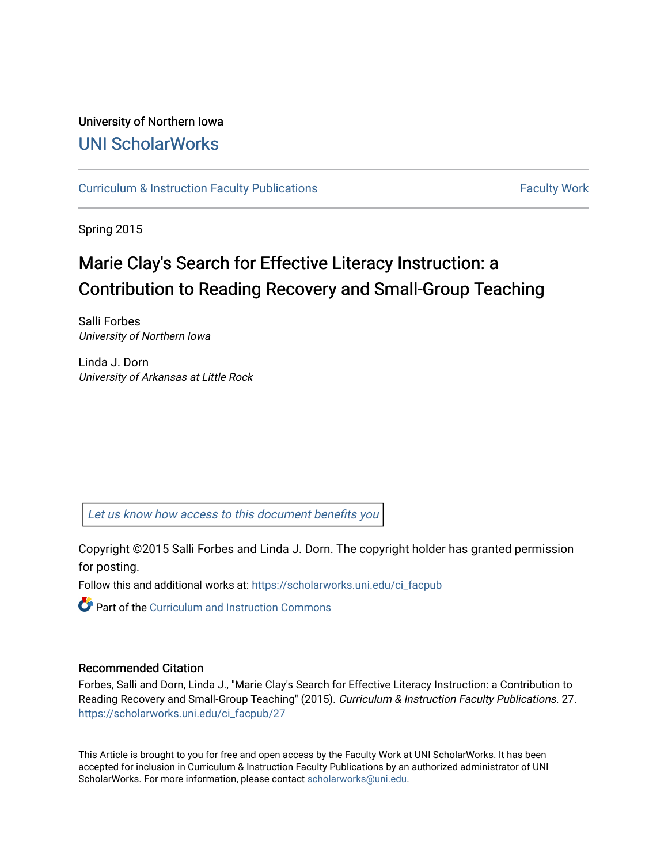### University of Northern Iowa [UNI ScholarWorks](https://scholarworks.uni.edu/)

[Curriculum & Instruction Faculty Publications](https://scholarworks.uni.edu/ci_facpub) [Faculty Work](https://scholarworks.uni.edu/fw_ci) Faculty Work

Spring 2015

## Marie Clay's Search for Effective Literacy Instruction: a Contribution to Reading Recovery and Small-Group Teaching

Salli Forbes University of Northern Iowa

Linda J. Dorn University of Arkansas at Little Rock

[Let us know how access to this document benefits you](https://scholarworks.uni.edu/feedback_form.html) 

Copyright ©2015 Salli Forbes and Linda J. Dorn. The copyright holder has granted permission for posting.

Follow this and additional works at: [https://scholarworks.uni.edu/ci\\_facpub](https://scholarworks.uni.edu/ci_facpub?utm_source=scholarworks.uni.edu%2Fci_facpub%2F27&utm_medium=PDF&utm_campaign=PDFCoverPages)

Part of the [Curriculum and Instruction Commons](http://network.bepress.com/hgg/discipline/786?utm_source=scholarworks.uni.edu%2Fci_facpub%2F27&utm_medium=PDF&utm_campaign=PDFCoverPages) 

#### Recommended Citation

Forbes, Salli and Dorn, Linda J., "Marie Clay's Search for Effective Literacy Instruction: a Contribution to Reading Recovery and Small-Group Teaching" (2015). Curriculum & Instruction Faculty Publications. 27. [https://scholarworks.uni.edu/ci\\_facpub/27](https://scholarworks.uni.edu/ci_facpub/27?utm_source=scholarworks.uni.edu%2Fci_facpub%2F27&utm_medium=PDF&utm_campaign=PDFCoverPages) 

This Article is brought to you for free and open access by the Faculty Work at UNI ScholarWorks. It has been accepted for inclusion in Curriculum & Instruction Faculty Publications by an authorized administrator of UNI ScholarWorks. For more information, please contact [scholarworks@uni.edu](mailto:scholarworks@uni.edu).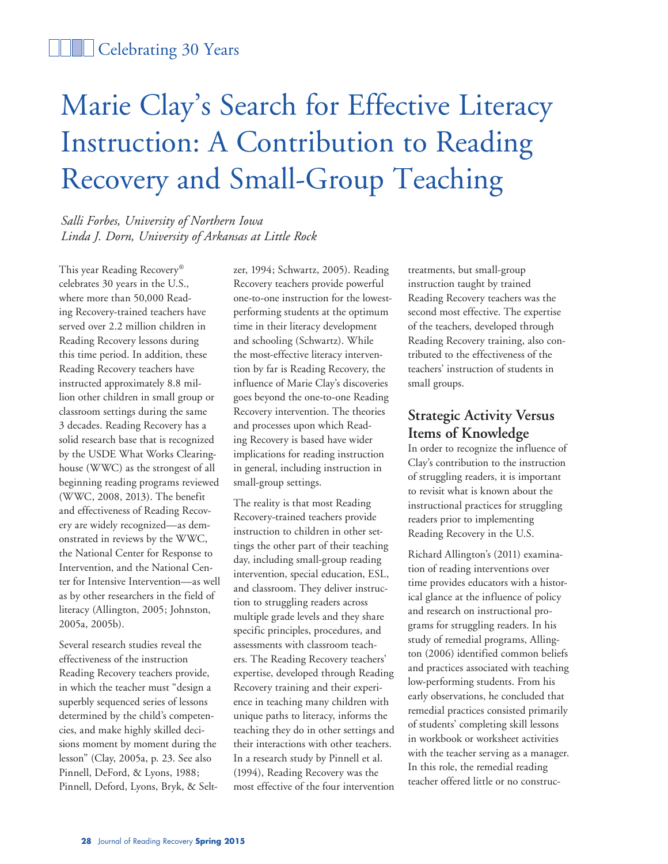### **Celebrating 30 Years**

# Marie Clay's Search for Effective Literacy Instruction: A Contribution to Reading Recovery and Small-Group Teaching

*Salli Forbes, University of Northern Iowa Linda J. Dorn, University of Arkansas at Little Rock*

This year Reading Recovery® celebrates 30 years in the U.S., where more than 50,000 Reading Recovery-trained teachers have served over 2.2 million children in Reading Recovery lessons during this time period. In addition, these Reading Recovery teachers have instructed approximately 8.8 million other children in small group or classroom settings during the same 3 decades. Reading Recovery has a solid research base that is recognized by the USDE What Works Clearinghouse (WWC) as the strongest of all beginning reading programs reviewed (WWC, 2008, 2013). The benefit and effectiveness of Reading Recovery are widely recognized—as demonstrated in reviews by the WWC, the National Center for Response to Intervention, and the National Center for Intensive Intervention—as well as by other researchers in the field of literacy (Allington, 2005; Johnston, 2005a, 2005b).

Several research studies reveal the effectiveness of the instruction Reading Recovery teachers provide, in which the teacher must "design a superbly sequenced series of lessons determined by the child's competencies, and make highly skilled decisions moment by moment during the lesson" (Clay, 2005a, p. 23. See also Pinnell, DeFord, & Lyons, 1988; Pinnell, Deford, Lyons, Bryk, & Seltzer, 1994; Schwartz, 2005). Reading Recovery teachers provide powerful one-to-one instruction for the lowestperforming students at the optimum time in their literacy development and schooling (Schwartz). While the most-effective literacy intervention by far is Reading Recovery, the influence of Marie Clay's discoveries goes beyond the one-to-one Reading Recovery intervention. The theories and processes upon which Reading Recovery is based have wider implications for reading instruction in general, including instruction in small-group settings.

The reality is that most Reading Recovery-trained teachers provide instruction to children in other settings the other part of their teaching day, including small-group reading intervention, special education, ESL, and classroom. They deliver instruction to struggling readers across multiple grade levels and they share specific principles, procedures, and assessments with classroom teachers. The Reading Recovery teachers' expertise, developed through Reading Recovery training and their experience in teaching many children with unique paths to literacy, informs the teaching they do in other settings and their interactions with other teachers. In a research study by Pinnell et al. (1994), Reading Recovery was the most effective of the four intervention

treatments, but small-group instruction taught by trained Reading Recovery teachers was the second most effective. The expertise of the teachers, developed through Reading Recovery training, also contributed to the effectiveness of the teachers' instruction of students in small groups.

#### **Strategic Activity Versus Items of Knowledge**

In order to recognize the influence of Clay's contribution to the instruction of struggling readers, it is important to revisit what is known about the instructional practices for struggling readers prior to implementing Reading Recovery in the U.S.

Richard Allington's (2011) examination of reading interventions over time provides educators with a historical glance at the influence of policy and research on instructional programs for struggling readers. In his study of remedial programs, Allington (2006) identified common beliefs and practices associated with teaching low-performing students. From his early observations, he concluded that remedial practices consisted primarily of students' completing skill lessons in workbook or worksheet activities with the teacher serving as a manager. In this role, the remedial reading teacher offered little or no construc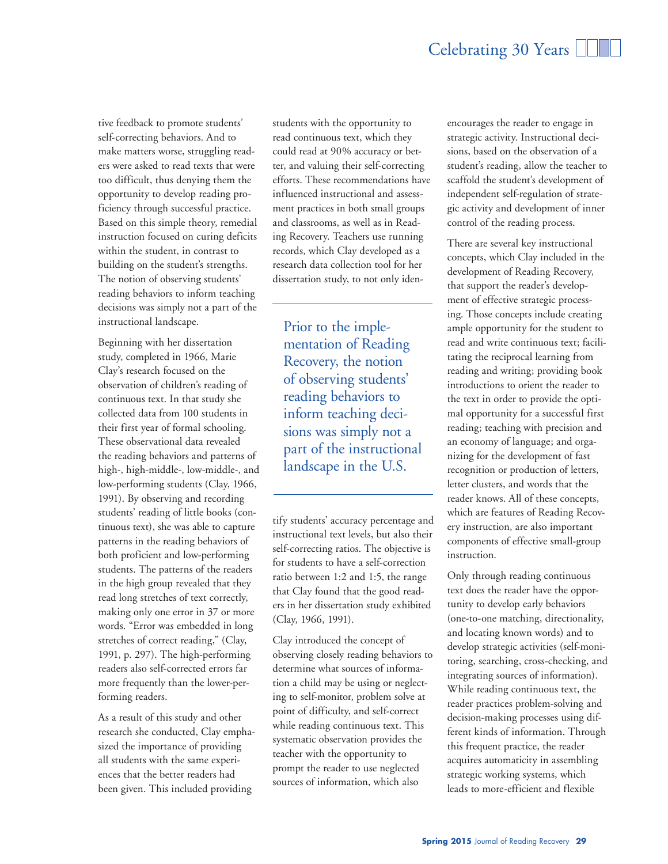tive feedback to promote students' self-correcting behaviors. And to make matters worse, struggling readers were asked to read texts that were too difficult, thus denying them the opportunity to develop reading proficiency through successful practice. Based on this simple theory, remedial instruction focused on curing deficits within the student, in contrast to building on the student's strengths. The notion of observing students' reading behaviors to inform teaching decisions was simply not a part of the instructional landscape.

Beginning with her dissertation study, completed in 1966, Marie Clay's research focused on the observation of children's reading of continuous text. In that study she collected data from 100 students in their first year of formal schooling. These observational data revealed the reading behaviors and patterns of high-, high-middle-, low-middle-, and low-performing students (Clay, 1966, 1991). By observing and recording students' reading of little books (continuous text), she was able to capture patterns in the reading behaviors of both proficient and low-performing students. The patterns of the readers in the high group revealed that they read long stretches of text correctly, making only one error in 37 or more words. "Error was embedded in long stretches of correct reading," (Clay, 1991, p. 297). The high-performing readers also self-corrected errors far more frequently than the lower-performing readers.

As a result of this study and other research she conducted, Clay emphasized the importance of providing all students with the same experiences that the better readers had been given. This included providing

students with the opportunity to read continuous text, which they could read at 90% accuracy or better, and valuing their self-correcting efforts. These recommendations have influenced instructional and assessment practices in both small groups and classrooms, as well as in Reading Recovery. Teachers use running records, which Clay developed as a research data collection tool for her dissertation study, to not only iden-

Prior to the implementation of Reading Recovery, the notion of observing students' reading behaviors to inform teaching decisions was simply not a part of the instructional landscape in the U.S.

tify students' accuracy percentage and instructional text levels, but also their self-correcting ratios. The objective is for students to have a self-correction ratio between 1:2 and 1:5, the range that Clay found that the good readers in her dissertation study exhibited (Clay, 1966, 1991).

Clay introduced the concept of observing closely reading behaviors to determine what sources of information a child may be using or neglecting to self-monitor, problem solve at point of difficulty, and self-correct while reading continuous text. This systematic observation provides the teacher with the opportunity to prompt the reader to use neglected sources of information, which also

encourages the reader to engage in strategic activity. Instructional decisions, based on the observation of a student's reading, allow the teacher to scaffold the student's development of independent self-regulation of strategic activity and development of inner control of the reading process.

There are several key instructional concepts, which Clay included in the development of Reading Recovery, that support the reader's development of effective strategic processing. Those concepts include creating ample opportunity for the student to read and write continuous text; facilitating the reciprocal learning from reading and writing; providing book introductions to orient the reader to the text in order to provide the optimal opportunity for a successful first reading; teaching with precision and an economy of language; and organizing for the development of fast recognition or production of letters, letter clusters, and words that the reader knows. All of these concepts, which are features of Reading Recovery instruction, are also important components of effective small-group instruction.

Only through reading continuous text does the reader have the opportunity to develop early behaviors (one-to-one matching, directionality, and locating known words) and to develop strategic activities (self-monitoring, searching, cross-checking, and integrating sources of information). While reading continuous text, the reader practices problem-solving and decision-making processes using different kinds of information. Through this frequent practice, the reader acquires automaticity in assembling strategic working systems, which leads to more-efficient and flexible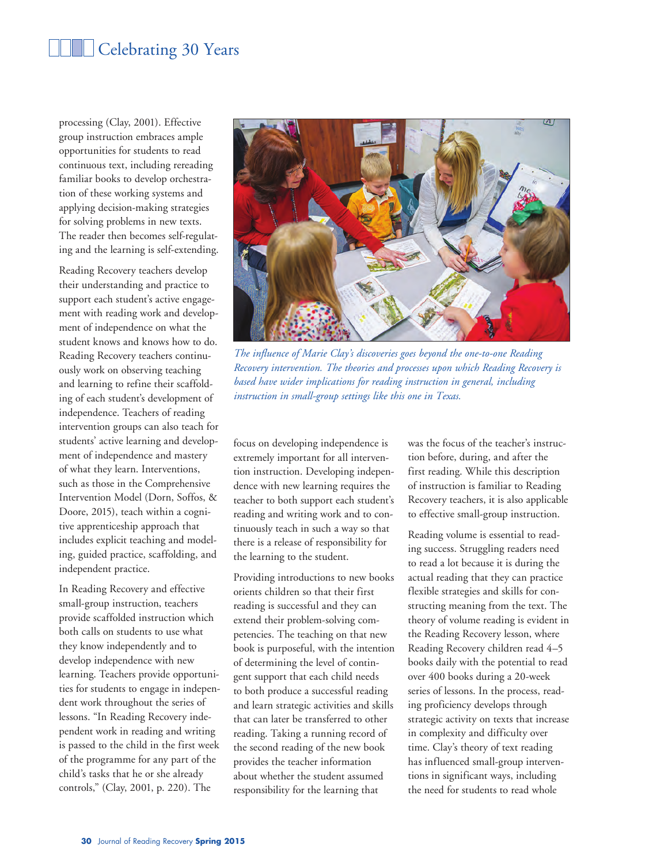## Celebrating 30 Years

processing (Clay, 2001). Effective group instruction embraces ample opportunities for students to read continuous text, including rereading familiar books to develop orchestration of these working systems and applying decision-making strategies for solving problems in new texts. The reader then becomes self-regulating and the learning is self-extending.

Reading Recovery teachers develop their understanding and practice to support each student's active engagement with reading work and development of independence on what the student knows and knows how to do. Reading Recovery teachers continuously work on observing teaching and learning to refine their scaffolding of each student's development of independence. Teachers of reading intervention groups can also teach for students' active learning and development of independence and mastery of what they learn. Interventions, such as those in the Comprehensive Intervention Model (Dorn, Soffos, & Doore, 2015), teach within a cognitive apprenticeship approach that includes explicit teaching and modeling, guided practice, scaffolding, and independent practice.

In Reading Recovery and effective small-group instruction, teachers provide scaffolded instruction which both calls on students to use what they know independently and to develop independence with new learning. Teachers provide opportunities for students to engage in independent work throughout the series of lessons. "In Reading Recovery independent work in reading and writing is passed to the child in the first week of the programme for any part of the child's tasks that he or she already controls," (Clay, 2001, p. 220). The



*The influence of Marie Clay's discoveries goes beyond the one-to-one Reading Recovery intervention. The theories and processes upon which Reading Recovery is based have wider implications for reading instruction in general, including instruction in small-group settings like this one in Texas.*

focus on developing independence is extremely important for all intervention instruction. Developing independence with new learning requires the teacher to both support each student's reading and writing work and to continuously teach in such a way so that there is a release of responsibility for the learning to the student.

Providing introductions to new books orients children so that their first reading is successful and they can extend their problem-solving competencies. The teaching on that new book is purposeful, with the intention of determining the level of contingent support that each child needs to both produce a successful reading and learn strategic activities and skills that can later be transferred to other reading. Taking a running record of the second reading of the new book provides the teacher information about whether the student assumed responsibility for the learning that

was the focus of the teacher's instruction before, during, and after the first reading. While this description of instruction is familiar to Reading Recovery teachers, it is also applicable to effective small-group instruction.

Reading volume is essential to reading success. Struggling readers need to read a lot because it is during the actual reading that they can practice flexible strategies and skills for constructing meaning from the text. The theory of volume reading is evident in the Reading Recovery lesson, where Reading Recovery children read 4–5 books daily with the potential to read over 400 books during a 20-week series of lessons. In the process, reading proficiency develops through strategic activity on texts that increase in complexity and difficulty over time. Clay's theory of text reading has influenced small-group interventions in significant ways, including the need for students to read whole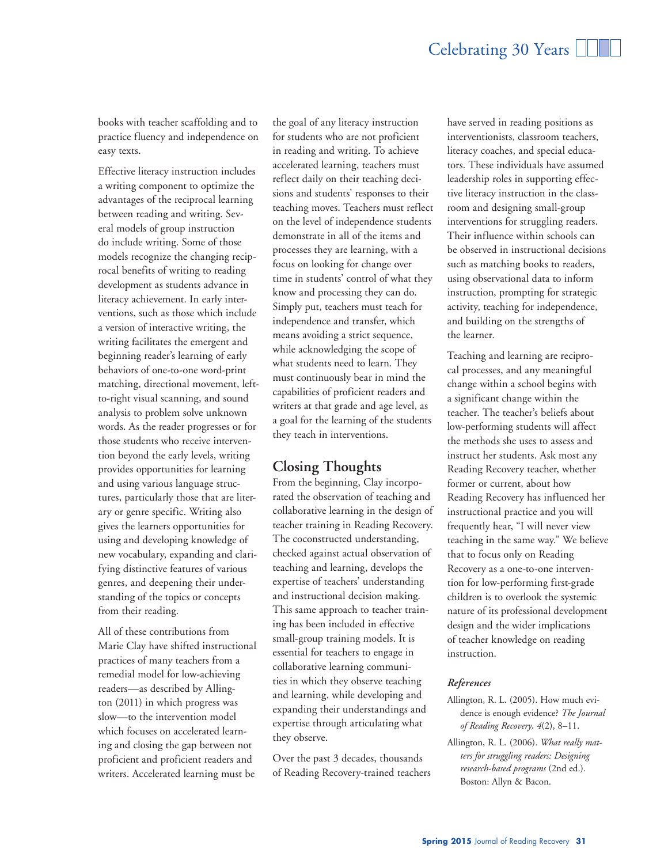books with teacher scaffolding and to practice fluency and independence on easy texts.

Effective literacy instruction includes a writing component to optimize the advantages of the reciprocal learning between reading and writing. Several models of group instruction do include writing. Some of those models recognize the changing reciprocal benefits of writing to reading development as students advance in literacy achievement. In early interventions, such as those which include a version of interactive writing, the writing facilitates the emergent and beginning reader's learning of early behaviors of one-to-one word-print matching, directional movement, leftto-right visual scanning, and sound analysis to problem solve unknown words. As the reader progresses or for those students who receive intervention beyond the early levels, writing provides opportunities for learning and using various language structures, particularly those that are literary or genre specific. Writing also gives the learners opportunities for using and developing knowledge of new vocabulary, expanding and clarifying distinctive features of various genres, and deepening their understanding of the topics or concepts from their reading.

All of these contributions from Marie Clay have shifted instructional practices of many teachers from a remedial model for low-achieving readers—as described by Allington (2011) in which progress was slow—to the intervention model which focuses on accelerated learning and closing the gap between not proficient and proficient readers and writers. Accelerated learning must be

the goal of any literacy instruction for students who are not proficient in reading and writing. To achieve accelerated learning, teachers must reflect daily on their teaching decisions and students' responses to their teaching moves. Teachers must reflect on the level of independence students demonstrate in all of the items and processes they are learning, with a focus on looking for change over time in students' control of what they know and processing they can do. Simply put, teachers must teach for independence and transfer, which means avoiding a strict sequence, while acknowledging the scope of what students need to learn. They must continuously bear in mind the capabilities of proficient readers and writers at that grade and age level, as a goal for the learning of the students they teach in interventions.

#### **Closing Thoughts**

From the beginning, Clay incorporated the observation of teaching and collaborative learning in the design of teacher training in Reading Recovery. The coconstructed understanding, checked against actual observation of teaching and learning, develops the expertise of teachers' understanding and instructional decision making. This same approach to teacher training has been included in effective small-group training models. It is essential for teachers to engage in collaborative learning communities in which they observe teaching and learning, while developing and expanding their understandings and expertise through articulating what they observe.

Over the past 3 decades, thousands of Reading Recovery-trained teachers

have served in reading positions as interventionists, classroom teachers, literacy coaches, and special educators. These individuals have assumed leadership roles in supporting effective literacy instruction in the classroom and designing small-group interventions for struggling readers. Their influence within schools can be observed in instructional decisions such as matching books to readers, using observational data to inform instruction, prompting for strategic activity, teaching for independence, and building on the strengths of the learner.

Teaching and learning are reciprocal processes, and any meaningful change within a school begins with a significant change within the teacher. The teacher's beliefs about low-performing students will affect the methods she uses to assess and instruct her students. Ask most any Reading Recovery teacher, whether former or current, about how Reading Recovery has influenced her instructional practice and you will frequently hear, "I will never view teaching in the same way." We believe that to focus only on Reading Recovery as a one-to-one intervention for low-performing first-grade children is to overlook the systemic nature of its professional development design and the wider implications of teacher knowledge on reading instruction.

#### *References*

- Allington, R. L. (2005). How much evidence is enough evidence? *The Journal of Reading Recovery, 4*(2), 8–11.
- Allington, R. L. (2006). *What really matters for struggling readers: Designing research-based programs* (2nd ed.). Boston: Allyn & Bacon.